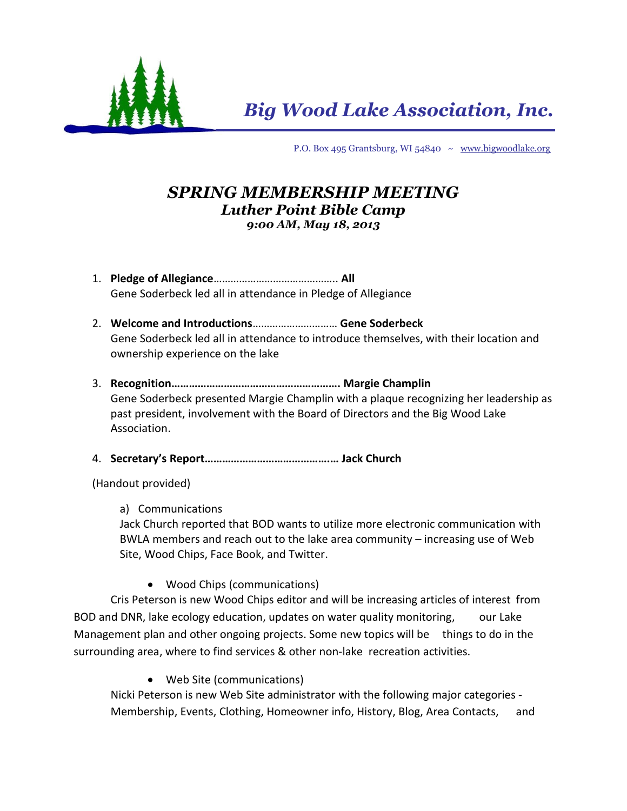

*Big Wood Lake Association, Inc.*

P.O. Box 495 Grantsburg, WI 54840 ~ [www.bigwoodlake.org](http://www.bigwoodlake.org/)

## *SPRING MEMBERSHIP MEETING Luther Point Bible Camp 9:00 AM, May 18, 2013*

- 1. **Pledge of Allegiance**…………………………………….. **All** Gene Soderbeck led all in attendance in Pledge of Allegiance
- 2. **Welcome and Introductions**………………………… **Gene Soderbeck** Gene Soderbeck led all in attendance to introduce themselves, with their location and ownership experience on the lake
- 3. **Recognition…………………………………………………. Margie Champlin** Gene Soderbeck presented Margie Champlin with a plaque recognizing her leadership as past president, involvement with the Board of Directors and the Big Wood Lake Association.
- 4. **Secretary's Report…………………………………….… Jack Church**
- (Handout provided)
	- a) Communications

Jack Church reported that BOD wants to utilize more electronic communication with BWLA members and reach out to the lake area community – increasing use of Web Site, Wood Chips, Face Book, and Twitter.

Wood Chips (communications)

Cris Peterson is new Wood Chips editor and will be increasing articles of interest from BOD and DNR, lake ecology education, updates on water quality monitoring, our Lake Management plan and other ongoing projects. Some new topics will be things to do in the surrounding area, where to find services & other non-lake recreation activities.

Web Site (communications)

Nicki Peterson is new Web Site administrator with the following major categories - Membership, Events, Clothing, Homeowner info, History, Blog, Area Contacts, and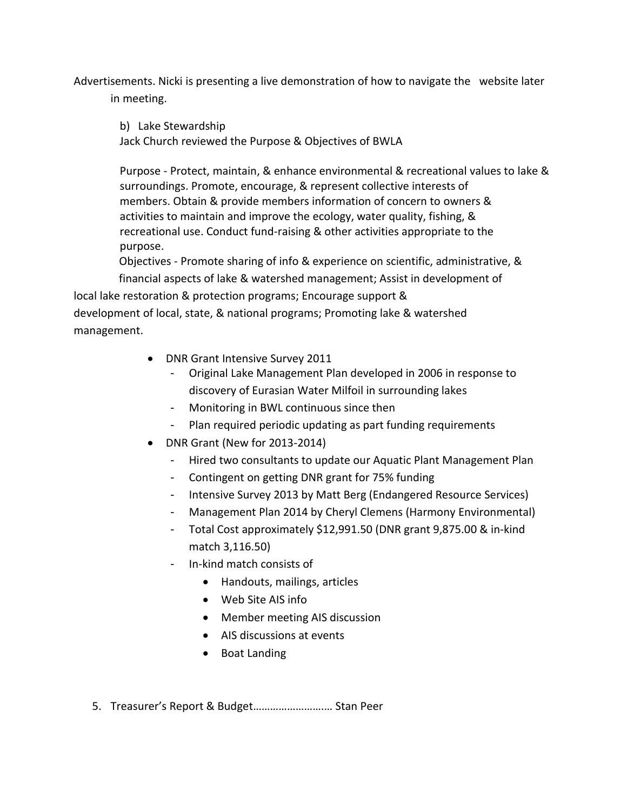Advertisements. Nicki is presenting a live demonstration of how to navigate the website later in meeting.

b) Lake Stewardship Jack Church reviewed the Purpose & Objectives of BWLA

Purpose - Protect, maintain, & enhance environmental & recreational values to lake & surroundings. Promote, encourage, & represent collective interests of members. Obtain & provide members information of concern to owners & activities to maintain and improve the ecology, water quality, fishing, & recreational use. Conduct fund-raising & other activities appropriate to the purpose.

Objectives - Promote sharing of info & experience on scientific, administrative, &

 financial aspects of lake & watershed management; Assist in development of local lake restoration & protection programs; Encourage support & development of local, state, & national programs; Promoting lake & watershed management.

- DNR Grant Intensive Survey 2011
	- Original Lake Management Plan developed in 2006 in response to discovery of Eurasian Water Milfoil in surrounding lakes
	- Monitoring in BWL continuous since then
	- Plan required periodic updating as part funding requirements
- DNR Grant (New for 2013-2014)
	- Hired two consultants to update our Aquatic Plant Management Plan
	- Contingent on getting DNR grant for 75% funding
	- Intensive Survey 2013 by Matt Berg (Endangered Resource Services)
	- Management Plan 2014 by Cheryl Clemens (Harmony Environmental)
	- Total Cost approximately \$12,991.50 (DNR grant 9,875.00 & in-kind match 3,116.50)
	- In-kind match consists of
		- Handouts, mailings, articles
		- Web Site AIS info
		- Member meeting AIS discussion
		- AIS discussions at events
		- Boat Landing
- 5. Treasurer's Report & Budget…………………….… Stan Peer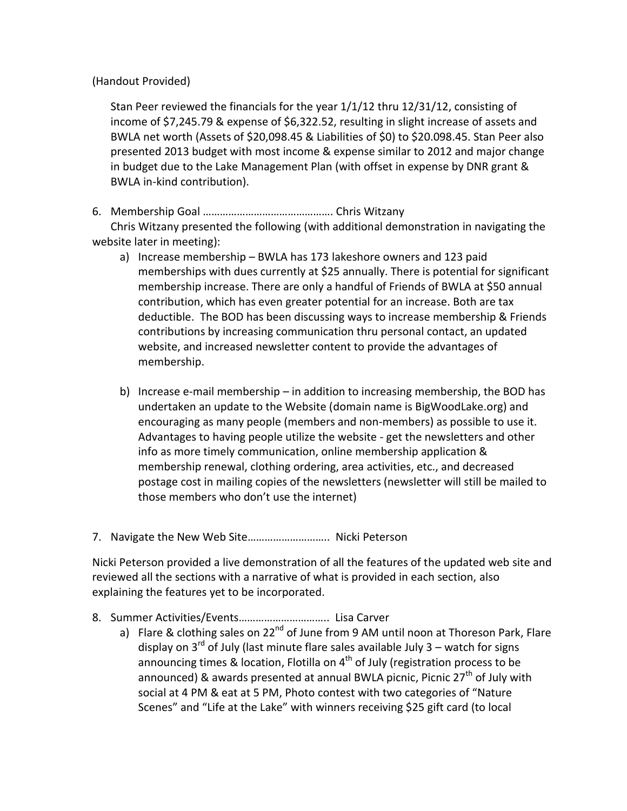(Handout Provided)

Stan Peer reviewed the financials for the year 1/1/12 thru 12/31/12, consisting of income of \$7,245.79 & expense of \$6,322.52, resulting in slight increase of assets and BWLA net worth (Assets of \$20,098.45 & Liabilities of \$0) to \$20.098.45. Stan Peer also presented 2013 budget with most income & expense similar to 2012 and major change in budget due to the Lake Management Plan (with offset in expense by DNR grant & BWLA in-kind contribution).

6. Membership Goal ………………………………………. Chris Witzany

Chris Witzany presented the following (with additional demonstration in navigating the website later in meeting):

- a) Increase membership BWLA has 173 lakeshore owners and 123 paid memberships with dues currently at \$25 annually. There is potential for significant membership increase. There are only a handful of Friends of BWLA at \$50 annual contribution, which has even greater potential for an increase. Both are tax deductible. The BOD has been discussing ways to increase membership & Friends contributions by increasing communication thru personal contact, an updated website, and increased newsletter content to provide the advantages of membership.
- b) Increase e-mail membership in addition to increasing membership, the BOD has undertaken an update to the Website (domain name is BigWoodLake.org) and encouraging as many people (members and non-members) as possible to use it. Advantages to having people utilize the website - get the newsletters and other info as more timely communication, online membership application & membership renewal, clothing ordering, area activities, etc., and decreased postage cost in mailing copies of the newsletters (newsletter will still be mailed to those members who don't use the internet)
- 7. Navigate the New Web Site……………………….. Nicki Peterson

Nicki Peterson provided a live demonstration of all the features of the updated web site and reviewed all the sections with a narrative of what is provided in each section, also explaining the features yet to be incorporated.

- 8. Summer Activities/Events………………………….. Lisa Carver
	- a) Flare & clothing sales on 22<sup>nd</sup> of June from 9 AM until noon at Thoreson Park, Flare display on  $3^{rd}$  of July (last minute flare sales available July 3 – watch for signs announcing times & location, Flotilla on  $4<sup>th</sup>$  of July (registration process to be announced) & awards presented at annual BWLA picnic, Picnic  $27<sup>th</sup>$  of July with social at 4 PM & eat at 5 PM, Photo contest with two categories of "Nature Scenes" and "Life at the Lake" with winners receiving \$25 gift card (to local